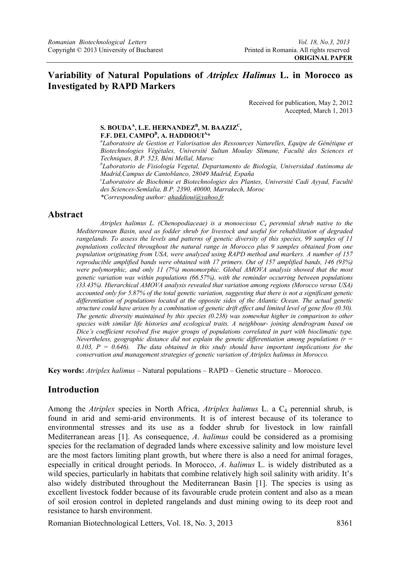# **Variability of Natural Populations of** *Atriplex Halimus* **L. in Morocco as Investigated by RAPD Markers**

Received for publication, May 2, 2012 Accepted, March 1, 2013

## S. BOUDA<sup>A</sup>, L.E. HERNANDEZ<sup>B</sup>, M. BAAZIZ<sup>C</sup>, **F.F. DEL CAMPO<sup>B</sup>, A. HADDIOUI<sup>A</sup><sup>\*</sup>**

*Laboratoire de Gestion et Valorisation des Ressources Naturelles, Equipe de Génétique et Biotechnologies Végétales, Université Sultan Moulay Slimane, Faculté des Sciences et Techniques, B.P. 523, Béni Mellal, Maroc* 

*b Laboratorio de Fisiología Vegetal, Departamento de Biología, Universidad Autónoma de Madrid,Campus de Cantoblanco, 28049 Madrid, España* 

*c Laboratoire de Biochimie et Biotechnologies des Plantes, Université Cadi Ayyad, Faculté des Sciences-Semlalia, B.P. 2390, 40000, Marrakech, Moroc* 

*\*Corresponding author: ahaddioui@yahoo.fr*

#### **Abstract**

*Atriplex halimus L. (Chenopodiaceae) is a monoecious C4 perennial shrub native to the Mediterranean Basin, used as fodder shrub for livestock and useful for rehabilitation of degraded rangelands. To assess the levels and patterns of genetic diversity of this species, 99 samples of 11 populations collected throughout the natural range in Morocco plus 9 samples obtained from one population originating from USA, were analyzed using RAPD method and markers. A number of 157 reproducible amplified bands were obtained with 17 primers. Out of 157 amplified bands, 146 (93%) were polymorphic, and only 11 (7%) monomorphic. Global AMOVA analysis showed that the most genetic variation was within populations (66.57%), with the reminder occurring between populations (33.43%). Hierarchical AMOVA analysis revealed that variation among regions (Morocco versus USA) accounted only for 5.87% of the total genetic variation, suggesting that there is not a significant genetic differentiation of populations located at the opposite sides of the Atlantic Ocean. The actual genetic structure could have arisen by a combination of genetic drift effect and limited level of gene flow (0.50). The genetic diversity maintained by this species (0.238) was somewhat higher in comparison to other species with similar life histories and ecological traits. A neighbour- joining dendrogram based on Dice's coefficient resolved five major groups of populations correlated in part with bioclimatic type. Nevertheless, geographic distance did not explain the genetic differentiation among populations (r = 0.103, P = 0.646). The data obtained in this study should have important implications for the conservation and management strategies of genetic variation of Atriplex halimus in Morocco.* 

**Key words:** *Atriplex halimus* – Natural populations – RAPD – Genetic structure – Morocco.

# **Introduction**

Among the *Atriplex* species in North Africa, *Atriplex halimus* L. a C<sub>4</sub> perennial shrub, is found in arid and semi-arid environments. It is of interest because of its tolerance to environmental stresses and its use as a fodder shrub for livestock in low rainfall Mediterranean areas [1]. As consequence, *A*. *halimus* could be considered as a promising species for the reclamation of degraded lands where excessive salinity and low moisture level are the most factors limiting plant growth, but where there is also a need for animal forages, especially in critical drought periods. In Morocco, *A*. *halimus* L. is widely distributed as a wild species, particularly in habitats that combine relatively high soil salinity with aridity. It's also widely distributed throughout the Mediterranean Basin [1]. The species is using as excellent livestock fodder because of its favourable crude protein content and also as a mean of soil erosion control in depleted rangelands and dust mining owing to its deep root and resistance to harsh environment.

Romanian Biotechnological Letters, Vol. 18, No. 3, 2013 8361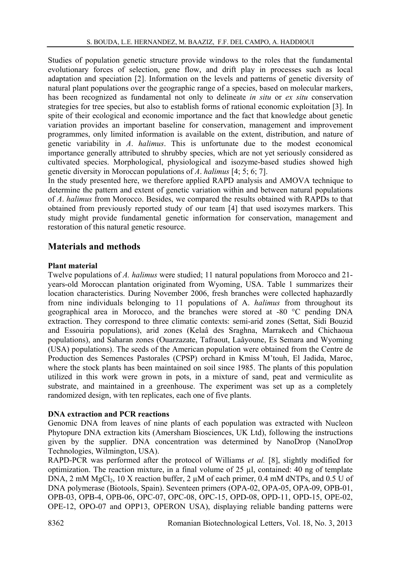Studies of population genetic structure provide windows to the roles that the fundamental evolutionary forces of selection, gene flow, and drift play in processes such as local adaptation and speciation [2]. Information on the levels and patterns of genetic diversity of natural plant populations over the geographic range of a species, based on molecular markers, has been recognized as fundamental not only to delineate *in situ* or *ex situ* conservation strategies for tree species, but also to establish forms of rational economic exploitation [3]. In spite of their ecological and economic importance and the fact that knowledge about genetic variation provides an important baseline for conservation, management and improvement programmes, only limited information is available on the extent, distribution, and nature of genetic variability in *A*. *halimus*. This is unfortunate due to the modest economical importance generally attributed to shrubby species, which are not yet seriously considered as cultivated species. Morphological, physiological and isozyme-based studies showed high genetic diversity in Moroccan populations of *A*. *halimus* [4; 5; 6; 7].

In the study presented here, we therefore applied RAPD analysis and AMOVA technique to determine the pattern and extent of genetic variation within and between natural populations of *A*. *halimus* from Morocco. Besides, we compared the results obtained with RAPDs to that obtained from previously reported study of our team [4] that used isozymes markers. This study might provide fundamental genetic information for conservation, management and restoration of this natural genetic resource.

# **Materials and methods**

#### **Plant material**

Twelve populations of *A. halimus* were studied; 11 natural populations from Morocco and 21 years-old Moroccan plantation originated from Wyoming, USA. Table 1 summarizes their location characteristics. During November 2006, fresh branches were collected haphazardly from nine individuals belonging to 11 populations of A. *halimus* from throughout its geographical area in Morocco, and the branches were stored at -80 °C pending DNA extraction. They correspond to three climatic contexts: semi-arid zones (Settat, Sidi Bouzid and Essouiria populations), arid zones (Kelaâ des Sraghna, Marrakech and Chichaoua populations), and Saharan zones (Ouarzazate, Tafraout, Laâyoune, Es Semara and Wyoming (USA) populations). The seeds of the American population were obtained from the Centre de Production des Semences Pastorales (CPSP) orchard in Kmiss M'touh, El Jadida, Maroc, where the stock plants has been maintained on soil since 1985. The plants of this population utilized in this work were grown in pots, in a mixture of sand, peat and vermiculite as substrate, and maintained in a greenhouse. The experiment was set up as a completely randomized design, with ten replicates, each one of five plants.

#### **DNA extraction and PCR reactions**

Genomic DNA from leaves of nine plants of each population was extracted with Nucleon Phytopure DNA extraction kits (Amersham Biosciences, UK Ltd), following the instructions given by the supplier. DNA concentration was determined by NanoDrop (NanoDrop Technologies, Wilmington, USA).

RAPD-PCR was performed after the protocol of Williams *et al.* [8], slightly modified for optimization. The reaction mixture, in a final volume of  $25 \mu l$ , contained: 40 ng of template DNA, 2 mM MgCl<sub>2</sub>, 10 X reaction buffer, 2  $\mu$ M of each primer, 0.4 mM dNTPs, and 0.5 U of DNA polymerase (Biotools, Spain). Seventeen primers (OPA-02, OPA-05, OPA-09, OPB-01, OPB-03, OPB-4, OPB-06, OPC-07, OPC-08, OPC-15, OPD-08, OPD-11, OPD-15, OPE-02, OPE-12, OPO-07 and OPP13, OPERON USA), displaying reliable banding patterns were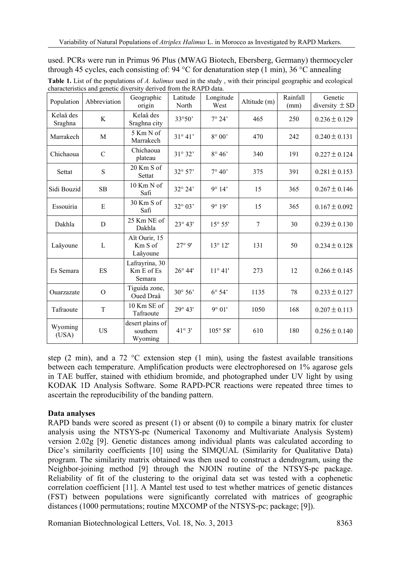| Population           | Abbreviation   | Geographic<br>origin                    | Latitude<br>North | Longitude<br>West | Altitude (m) | Rainfall<br>(mm) | Genetic<br>diversity $\pm$ SD |
|----------------------|----------------|-----------------------------------------|-------------------|-------------------|--------------|------------------|-------------------------------|
| Kelaâ des<br>Sraghna | K              | Kelaâ des<br>Sraghna city               | 33°50'            | $7^{\circ} 24'$   | 465          | 250              | $0.236 \pm 0.129$             |
| Marrakech            | M              | 5 Km N of<br>Marrakech                  | $31^{\circ} 41'$  | $8^\circ 00'$     | 470          | 242              | $0.240 \pm 0.131$             |
| Chichaoua            | $\mathcal{C}$  | Chichaoua<br>plateau                    | $31^{\circ} 32'$  | $8^\circ 46'$     | 340          | 191              | $0.227 \pm 0.124$             |
| Settat               | $\mathbf S$    | $20$ Km S of<br>Settat                  | $32^{\circ} 57'$  | $7^{\circ} 40'$   | 375          | 391              | $0.281 \pm 0.153$             |
| Sidi Bouzid          | SB.            | $10$ Km N of<br>Safi                    | $32^{\circ} 24'$  | 9°14'             | 15           | 365              | $0.267 \pm 0.146$             |
| Essouiria            | E              | 30 Km S of<br>Safi                      | $32^{\circ} 03'$  | 9°19'             | 15           | 365              | $0.167 \pm 0.092$             |
| Dakhla               | D              | 25 Km NE of<br>Dakhla                   | $23^{\circ}$ 43'  | $15^{\circ} 55'$  | 7            | 30               | $0.239 \pm 0.130$             |
| Laâyoune             | L              | Aït Ourir, 15<br>Km S of<br>Laâyoune    | 27°9'             | $13^{\circ} 12'$  | 131          | 50               | $0.234 \pm 0.128$             |
| Es Semara            | ES             | Lafrayrina, 30<br>Km E of Es<br>Semara  | $26^{\circ} 44'$  | $11^{\circ} 41'$  | 273          | 12               | $0.266 \pm 0.145$             |
| Ouarzazate           | $\overline{O}$ | Tiguida zone,<br>Oued Draâ              | $30^{\circ} 56'$  | $6^{\circ} 54'$   | 1135         | 78               | $0.233 \pm 0.127$             |
| Tafraoute            | T              | 10 Km SE of<br>Tafraoute                | $29^{\circ} 43'$  | 9° 01'            | 1050         | 168              | $0.207 \pm 0.113$             |
| Wyoming<br>(USA)     | US             | desert plains of<br>southern<br>Wyoming | $41^{\circ}3'$    | $105^{\circ} 58'$ | 610          | 180              | $0.256 \pm 0.140$             |

used. PCRs were run in Primus 96 Plus (MWAG Biotech, Ebersberg, Germany) thermocycler through 45 cycles, each consisting of: 94  $^{\circ}$ C for denaturation step (1 min), 36  $^{\circ}$ C annealing **Table 1.** List of the populations of *A. halimus* used in the study , with their principal geographic and ecological characteristics and genetic diversity derived from the RAPD data.

step (2 min), and a 72  $^{\circ}$ C extension step (1 min), using the fastest available transitions between each temperature. Amplification products were electrophoresed on 1% agarose gels in TAE buffer, stained with ethidium bromide, and photographed under UV light by using KODAK 1D Analysis Software. Some RAPD-PCR reactions were repeated three times to ascertain the reproducibility of the banding pattern.

#### **Data analyses**

RAPD bands were scored as present  $(1)$  or absent  $(0)$  to compile a binary matrix for cluster analysis using the NTSYS-pc (Numerical Taxonomy and Multivariate Analysis System) version 2.02g [9]. Genetic distances among individual plants was calculated according to Dice's similarity coefficients [10] using the SIMQUAL (Similarity for Qualitative Data) program. The similarity matrix obtained was then used to construct a dendrogram, using the Neighbor-joining method [9] through the NJOIN routine of the NTSYS-pc package. Reliability of fit of the clustering to the original data set was tested with a cophenetic correlation coefficient [11]. A Mantel test used to test whether matrices of genetic distances (FST) between populations were significantly correlated with matrices of geographic distances (1000 permutations; routine MXCOMP of the NTSYS-pc; package; [9]).

Romanian Biotechnological Letters, Vol. 18, No. 3, 2013 8363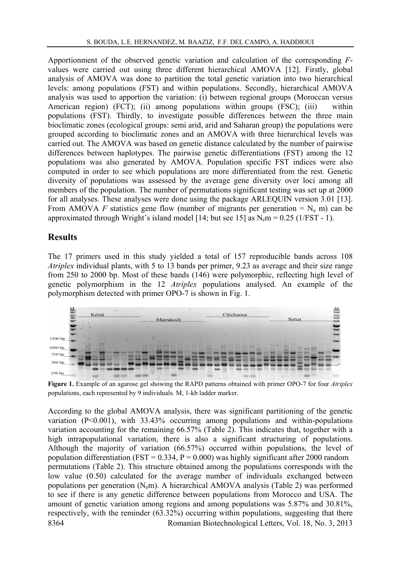Apportionment of the observed genetic variation and calculation of the corresponding *F*values were carried out using three different hierarchical AMOVA [12]. Firstly, global analysis of AMOVA was done to partition the total genetic variation into two hierarchical levels: among populations (FST) and within populations. Secondly, hierarchical AMOVA analysis was used to apportion the variation: (i) between regional groups (Moroccan versus American region) (FCT); (ii) among populations within groups (FSC); (iii) within populations (FST). Thirdly, to investigate possible differences between the three main bioclimatic zones (ecological groups: semi arid, arid and Saharan group) the populations were grouped according to bioclimatic zones and an AMOVA with three hierarchical levels was carried out. The AMOVA was based on genetic distance calculated by the number of pairwise differences between haplotypes. The pairwise genetic differentiations (FST) among the 12 populations was also generated by AMOVA. Population specific FST indices were also computed in order to see which populations are more differentiated from the rest. Genetic diversity of populations was assessed by the average gene diversity over loci among all members of the population. The number of permutations significant testing was set up at 2000 for all analyses. These analyses were done using the package ARLEQUIN version 3.01 [13]. From AMOVA *F* statistics gene flow (number of migrants per generation =  $N_e$  m) can be approximated through Wright's island model [14; but see 15] as  $N_{e}m = 0.25$  (1/FST - 1).

#### **Results**

The 17 primers used in this study yielded a total of 157 reproducible bands across 108 *Atriplex* individual plants, with 5 to 13 bands per primer, 9.23 as average and their size range from 250 to 2000 bp. Most of these bands (146) were polymorphic, reflecting high level of genetic polymorphism in the 12 *Atriplex* populations analysed. An example of the polymorphism detected with primer OPO-7 is shown in Fig. 1.



**Figure 1.** Example of an agarose gel showing the RAPD patterns obtained with primer OPO-7 for four *Atriplex* populations, each represented by 9 individuals. M, 1-kb ladder marker.

8364 Romanian Biotechnological Letters, Vol. 18, No. 3, 2013 According to the global AMOVA analysis, there was significant partitioning of the genetic variation  $(P<0.001)$ , with 33.43% occurring among populations and within-populations variation accounting for the remaining 66.57% (Table 2). This indicates that, together with a high intrapopulational variation, there is also a significant structuring of populations. Although the majority of variation (66.57%) occurred within populations, the level of population differentiation (FST =  $0.334$ , P =  $0.000$ ) was highly significant after 2000 random permutations (Table 2). This structure obtained among the populations corresponds with the low value (0.50) calculated for the average number of individuals exchanged between populations per generation ( $N<sub>e</sub>m$ ). A hierarchical AMOVA analysis (Table 2) was performed to see if there is any genetic difference between populations from Morocco and USA. The amount of genetic variation among regions and among populations was 5.87% and 30.81%, respectively, with the reminder (63.32%) occurring within populations, suggesting that there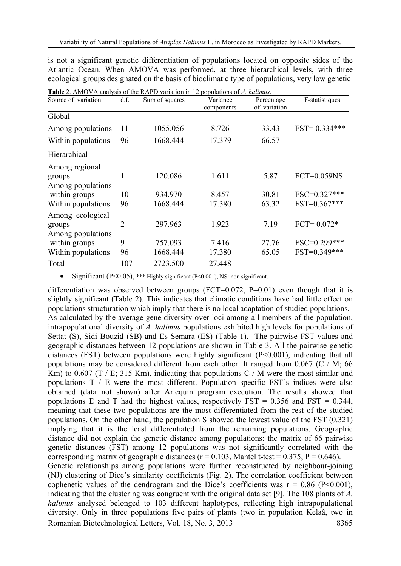is not a significant genetic differentiation of populations located on opposite sides of the Atlantic Ocean. When AMOVA was performed, at three hierarchical levels, with three ecological groups designated on the basis of bioclimatic type of populations, very low genetic

| Source of variation                             | d.f. | Sum of squares | Variance<br>components | Percentage<br>of variation | F-statistiques   |
|-------------------------------------------------|------|----------------|------------------------|----------------------------|------------------|
| Global                                          |      |                |                        |                            |                  |
| Among populations                               | 11   | 1055.056       | 8.726                  | 33.43                      | $FST = 0.334***$ |
| Within populations                              | 96   | 1668.444       | 17.379                 | 66.57                      |                  |
| Hierarchical                                    |      |                |                        |                            |                  |
| Among regional<br>groups<br>Among populations   | 1    | 120.086        | 1.611                  | 5.87                       | $FCT=0.059NS$    |
| within groups                                   | 10   | 934.970        | 8.457                  | 30.81                      | FSC=0.327***     |
| Within populations                              | 96   | 1668.444       | 17.380                 | 63.32                      | $FST=0.367***$   |
| Among ecological<br>groups<br>Among populations | 2    | 297.963        | 1.923                  | 7.19                       | $FCT = 0.072*$   |
| within groups                                   | 9    | 757.093        | 7.416                  | 27.76                      | FSC=0.299***     |
| Within populations                              | 96   | 1668.444       | 17.380                 | 65.05                      | FST=0.349***     |
| Total                                           | 107  | 2723.500       | 27.448                 |                            |                  |

**Table** 2. AMOVA analysis of the RAPD variation in 12 populations of *A. halimus*.

• Significant (P<0.05), \*\*\* Highly significant (P<0.001), NS: non significant.

Romanian Biotechnological Letters, Vol. 18, No. 3, 2013 8365 differentiation was observed between groups (FCT=0.072, P=0.01) even though that it is slightly significant (Table 2). This indicates that climatic conditions have had little effect on populations structuration which imply that there is no local adaptation of studied populations. As calculated by the average gene diversity over loci among all members of the population, intrapopulational diversity of *A. halimus* populations exhibited high levels for populations of Settat (S), Sidi Bouzid (SB) and Es Semara (ES) (Table 1). The pairwise FST values and geographic distances between 12 populations are shown in Table 3. All the pairwise genetic distances (FST) between populations were highly significant (P<0.001), indicating that all populations may be considered different from each other. It ranged from 0.067 (C / M; 66 Km) to 0.607 (T / E; 315 Km), indicating that populations C / M were the most similar and populations T / E were the most different. Population specific FST's indices were also obtained (data not shown) after Arlequin program execution. The results showed that populations E and T had the highest values, respectively  $FST = 0.356$  and  $FST = 0.344$ , meaning that these two populations are the most differentiated from the rest of the studied populations. On the other hand, the population S showed the lowest value of the FST (0.321) implying that it is the least differentiated from the remaining populations. Geographic distance did not explain the genetic distance among populations: the matrix of 66 pairwise genetic distances (FST) among 12 populations was not significantly correlated with the corresponding matrix of geographic distances ( $r = 0.103$ , Mantel t-test = 0.375, P = 0.646). Genetic relationships among populations were further reconstructed by neighbour-joining (NJ) clustering of Dice's similarity coefficients (Fig. 2). The correlation coefficient between cophenetic values of the dendrogram and the Dice's coefficients was  $r = 0.86$  (P<0.001), indicating that the clustering was congruent with the original data set [9]. The 108 plants of *A*. *halimus* analysed belonged to 103 different haplotypes, reflecting high intrapopulational diversity. Only in three populations five pairs of plants (two in population Kelaâ, two in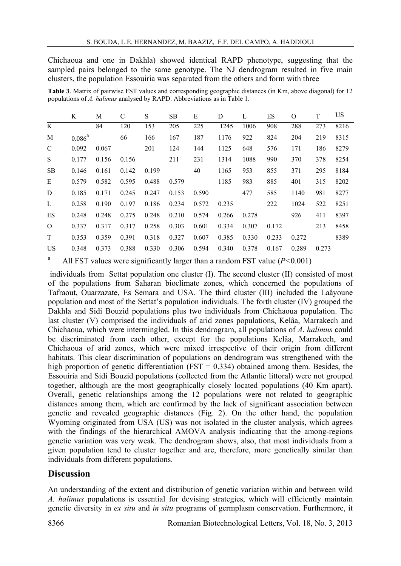Chichaoua and one in Dakhla) showed identical RAPD phenotype, suggesting that the sampled pairs belonged to the same genotype. The NJ dendrogram resulted in five main clusters, the population Essouiria was separated from the others and form with three

 K M C S SB E D L ES O T US K 84 120 153 205 225 1245 1006 908 288 273 8216 M  $0.086^a$  66 166 167 187 1176 922 824 204 219 8315 C 0.092 0.067 201 124 144 1125 648 576 171 186 8279 S 0.177 0.156 0.156 211 231 1314 1088 990 370 378 8254 SB 0.146 0.161 0.142 0.199 40 1165 953 855 371 295 8184 E 0.579 0.582 0.595 0.488 0.579 1185 983 885 401 315 8202 D 0.185 0.171 0.245 0.247 0.153 0.590 477 585 1140 981 8277 L 0.258 0.190 0.197 0.186 0.234 0.572 0.235 222 1024 522 8251 ES 0.248 0.248 0.275 0.248 0.210 0.574 0.266 0.278 926 411 8397 O 0.337 0.317 0.317 0.258 0.303 0.601 0.334 0.307 0.172 213 8458 T 0.353 0.359 0.391 0.318 0.327 0.607 0.385 0.330 0.233 0.272 8389 US 0.348 0.373 0.388 0.330 0.306 0.594 0.340 0.378 0.167 0.289 0.273

**Table 3**. Matrix of pairwise FST values and corresponding geographic distances (in Km, above diagonal) for 12 populations of *A. halimus* analysed by RAPD. Abbreviations as in Table 1.

a All FST values were significantly larger than a random FST value (*P<*0.001)

 individuals from Settat population one cluster (I). The second cluster (II) consisted of most of the populations from Saharan bioclimate zones, which concerned the populations of Tafraout, Ouarzazate, Es Semara and USA. The third cluster (III) included the Laâyoune population and most of the Settat's population individuals. The forth cluster (IV) grouped the Dakhla and Sidi Bouzid populations plus two individuals from Chichaoua population. The last cluster (V) comprised the individuals of arid zones populations, Kelâa, Marrakech and Chichaoua, which were intermingled. In this dendrogram, all populations of *A*. *halimus* could be discriminated from each other, except for the populations Kelâa, Marrakech, and Chichaoua of arid zones, which were mixed irrespective of their origin from different habitats. This clear discrimination of populations on dendrogram was strengthened with the high proportion of genetic differentiation (FST =  $0.334$ ) obtained among them. Besides, the Essouiria and Sidi Bouzid populations (collected from the Atlantic littoral) were not grouped together, although are the most geographically closely located populations (40 Km apart). Overall, genetic relationships among the 12 populations were not related to geographic distances among them, which are confirmed by the lack of significant association between genetic and revealed geographic distances (Fig. 2). On the other hand, the population Wyoming originated from USA (US) was not isolated in the cluster analysis, which agrees with the findings of the hierarchical AMOVA analysis indicating that the among-regions genetic variation was very weak. The dendrogram shows, also, that most individuals from a given population tend to cluster together and are, therefore, more genetically similar than individuals from different populations.

# **Discussion**

An understanding of the extent and distribution of genetic variation within and between wild *A. halimus* populations is essential for devising strategies, which will efficiently maintain genetic diversity in *ex situ* and *in situ* programs of germplasm conservation. Furthermore, it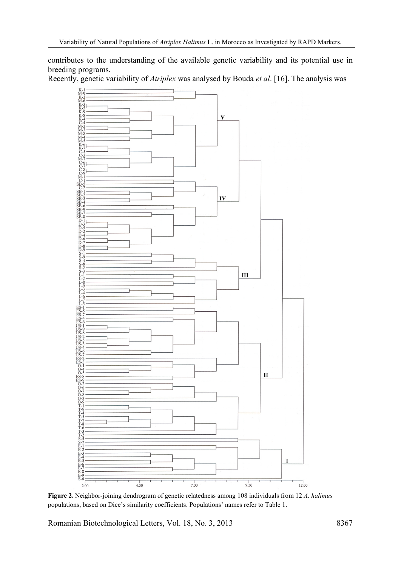contributes to the understanding of the available genetic variability and its potential use in breeding programs.

Recently, genetic variability of *Atriplex* was analysed by Bouda *et al*. [16]. The analysis was



**Figure 2.** Neighbor-joining dendrogram of genetic relatedness among 108 individuals from 12 *A. halimus* populations, based on Dice's similarity coefficients. Populations' names refer to Table 1.

Romanian Biotechnological Letters, Vol. 18, No. 3, 2013 8367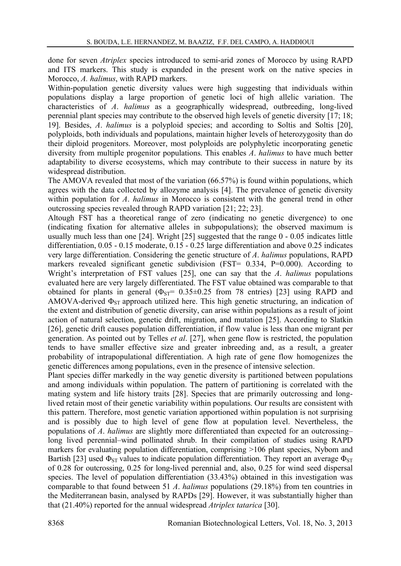done for seven *Atriplex* species introduced to semi-arid zones of Morocco by using RAPD and ITS markers. This study is expanded in the present work on the native species in Morocco, *A. halimus*, with RAPD markers.

Within-population genetic diversity values were high suggesting that individuals within populations display a large proportion of genetic loci of high allelic variation. The characteristics of *A*. *halimus* as a geographically widespread, outbreeding, long-lived perennial plant species may contribute to the observed high levels of genetic diversity [17; 18; 19]. Besides, *A*. *halimus* is a polyploid species; and according to Soltis and Soltis [20], polyploids, both individuals and populations, maintain higher levels of heterozygosity than do their diploid progenitors. Moreover, most polyploids are polyphyletic incorporating genetic diversity from multiple progenitor populations. This enables *A*. *halimus* to have much better adaptability to diverse ecosystems, which may contribute to their success in nature by its widespread distribution.

The AMOVA revealed that most of the variation (66.57%) is found within populations, which agrees with the data collected by allozyme analysis [4]. The prevalence of genetic diversity within population for *A*. *halimus* in Morocco is consistent with the general trend in other outcrossing species revealed through RAPD variation [21; 22; 23].

Altough FST has a theoretical range of zero (indicating no genetic divergence) to one (indicating fixation for alternative alleles in subpopulations); the observed maximum is usually much less than one [24]. Wright [25] suggested that the range 0 - 0.05 indicates little differentiation, 0.05 - 0.15 moderate, 0.15 - 0.25 large differentiation and above 0.25 indicates very large differentiation. Considering the genetic structure of *A*. *halimus* populations, RAPD markers revealed significant genetic subdivision (FST=  $0.334$ , P=0.000). According to Wright's interpretation of FST values [25], one can say that the *A*. *halimus* populations evaluated here are very largely differentiated. The FST value obtained was comparable to that obtained for plants in general  $(\Phi_{ST} = 0.35 \pm 0.25$  from 78 entries) [23] using RAPD and AMOVA-derived  $\Phi_{ST}$  approach utilized here. This high genetic structuring, an indication of the extent and distribution of genetic diversity, can arise within populations as a result of joint action of natural selection, genetic drift, migration, and mutation [25]. According to Slatkin [26], genetic drift causes population differentiation, if flow value is less than one migrant per generation. As pointed out by Telles *et al*. [27], when gene flow is restricted, the population tends to have smaller effective size and greater inbreeding and, as a result, a greater probability of intrapopulational differentiation. A high rate of gene flow homogenizes the genetic differences among populations, even in the presence of intensive selection.

Plant species differ markedly in the way genetic diversity is partitioned between populations and among individuals within population. The pattern of partitioning is correlated with the mating system and life history traits [28]. Species that are primarily outcrossing and longlived retain most of their genetic variability within populations. Our results are consistent with this pattern. Therefore, most genetic variation apportioned within population is not surprising and is possibly due to high level of gene flow at population level. Nevertheless, the populations of *A*. *halimus* are slightly more differentiated than expected for an outcrossing– long lived perennial–wind pollinated shrub. In their compilation of studies using RAPD markers for evaluating population differentiation, comprising >106 plant species, Nybom and Bartish [23] used  $\Phi_{ST}$  values to indicate population differentiation. They report an average  $\Phi_{ST}$ of 0.28 for outcrossing, 0.25 for long-lived perennial and, also, 0.25 for wind seed dispersal species. The level of population differentiation (33.43%) obtained in this investigation was comparable to that found between 51 *A*. *halimus* populations (29.18%) from ten countries in the Mediterranean basin, analysed by RAPDs [29]. However, it was substantially higher than that (21.40%) reported for the annual widespread *Atriplex tatarica* [30].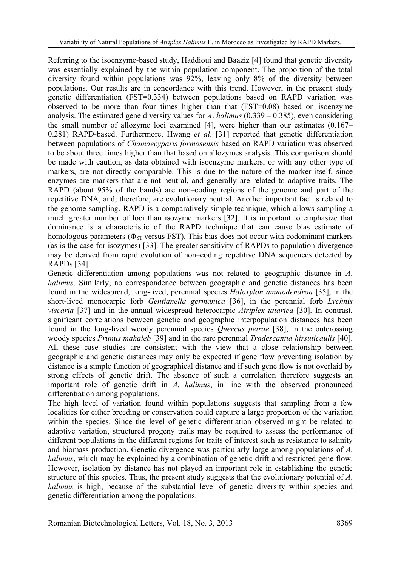Referring to the isoenzyme-based study, Haddioui and Baaziz [4] found that genetic diversity was essentially explained by the within population component. The proportion of the total diversity found within populations was 92%, leaving only 8% of the diversity between populations. Our results are in concordance with this trend. However, in the present study genetic differentiation (FST=0.334) between populations based on RAPD variation was observed to be more than four times higher than that (FST=0.08) based on isoenzyme analysis. The estimated gene diversity values for *A*. *halimus* (0.339 – 0.385), even considering the small number of allozyme loci examined [4], were higher than our estimates (0.167– 0.281) RAPD-based. Furthermore, Hwang *et al*. [31] reported that genetic differentiation between populations of *Chamaecyparis formosensis* based on RAPD variation was observed to be about three times higher than that based on allozymes analysis. This comparison should be made with caution, as data obtained with isoenzyme markers, or with any other type of markers, are not directly comparable. This is due to the nature of the marker itself, since enzymes are markers that are not neutral, and generally are related to adaptive traits. The RAPD (about 95% of the bands) are non–coding regions of the genome and part of the repetitive DNA, and, therefore, are evolutionary neutral. Another important fact is related to the genome sampling. RAPD is a comparatively simple technique, which allows sampling a much greater number of loci than isozyme markers [32]. It is important to emphasize that dominance is a characteristic of the RAPD technique that can cause bias estimate of homologous parameters ( $\Phi_{ST}$  versus FST). This bias does not occur with codominant markers (as is the case for isozymes) [33]. The greater sensitivity of RAPDs to population divergence may be derived from rapid evolution of non–coding repetitive DNA sequences detected by RAPDs [34].

Genetic differentiation among populations was not related to geographic distance in *A*. *halimus*. Similarly, no correspondence between geographic and genetic distances has been found in the widespread, long-lived, perennial species *Haloxylon ammodendron* [35], in the short-lived monocarpic forb *Gentianella germanica* [36], in the perennial forb *Lychnis viscaria* [37] and in the annual widespread heterocarpic *Atriplex tatarica* [30]. In contrast, significant correlations between genetic and geographic interpopulation distances has been found in the long-lived woody perennial species *Quercus petrae* [38], in the outcrossing woody species *Prunus mahaleb* [39] and in the rare perennial *Tradescantia hirsuticaulis* [40]. All these case studies are consistent with the view that a close relationship between geographic and genetic distances may only be expected if gene flow preventing isolation by distance is a simple function of geographical distance and if such gene flow is not overlaid by strong effects of genetic drift. The absence of such a correlation therefore suggests an important role of genetic drift in *A*. *halimus*, in line with the observed pronounced differentiation among populations.

The high level of variation found within populations suggests that sampling from a few localities for either breeding or conservation could capture a large proportion of the variation within the species. Since the level of genetic differentiation observed might be related to adaptive variation, structured progeny trails may be required to assess the performance of different populations in the different regions for traits of interest such as resistance to salinity and biomass production. Genetic divergence was particularly large among populations of *A*. *halimus*, which may be explained by a combination of genetic drift and restricted gene flow. However, isolation by distance has not played an important role in establishing the genetic structure of this species. Thus, the present study suggests that the evolutionary potential of *A*. *halimus* is high, because of the substantial level of genetic diversity within species and genetic differentiation among the populations.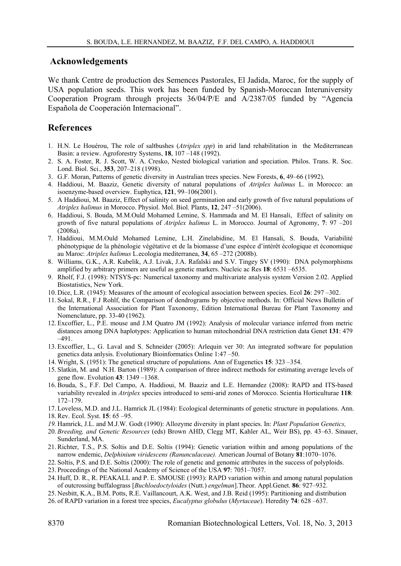#### **Acknowledgements**

We thank Centre de production des Semences Pastorales, El Jadida, Maroc, for the supply of USA population seeds. This work has been funded by Spanish-Moroccan Interuniversity Cooperation Program through projects 36/04/P/E and A/2387/05 funded by "Agencia Española de Cooperación Internacional".

### **References**

- 1. H.N. Le Houérou, The role of saltbushes (*Atriplex spp*) in arid land rehabilitation in the Mediterranean Basin: a review. Agroforestry Systems, **18**, 107 –148 (1992).
- 2. S. A. Foster, R. J. Scott, W. A. Cresko, Nested biological variation and speciation. Philos. Trans. R. Soc. Lond. Biol. Sci., **353**, 207–218 (1998).
- 3. G.F. Moran, Patterns of genetic diversity in Australian trees species. New Forests, **6**, 49–66 (1992).
- 4. Haddioui, M. Baaziz, Genetic diversity of natural populations of *Atriplex halimus* L. in Morocco: an isoenzyme-based overview. Euphytica, **121**, 99–106(2001).
- 5. A Haddioui, M. Baaziz, Effect of salinity on seed germination and early growth of five natural populations of *Atriplex halimus* in Morocco. Physiol. Mol. Biol. Plants, **12**, 247 –51(2006).
- 6. Haddioui, S. Bouda, M.M.Ould Mohamed Lemine, S. Hammada and M. El Hansali, Effect of salinity on growth of five natural populations of *Atriplex halimus* L. in Morocco. Journal of Agronomy, **7**: 97 –201 (2008a).
- 7. Haddioui, M.M.Ould Mohamed Lemine, L.H. Zinelabidine, M. El Hansali, S. Bouda, Variabilité phénotypique de la phénologie végétative et de la biomasse d'une espèce d'intérêt écologique et économique au Maroc: *Atriplex halimus* L.ecologia mediterranea, **34**, 65 –272 (2008b).
- 8. Williams, G.K., A.R. Kubelik, A.J. Livak, J.A. Rafalski and S.V. Tingey SV (1990): DNA polymorphisms amplified by arbitrary primers are useful as genetic markers. Nucleic ac Res **18**: 6531 –6535.
- 9. Rholf, F.J. (1998): NTSYS-pc: Numerical taxonomy and multivariate analysis system Version 2.02. Applied Biostatistics, New York.
- 10. Dice, L.R. (1945): Measures of the amount of ecological association between species. Ecol **26**: 297 –302.
- 11. Sokal, R.R., F.J Rohlf, the Comparison of dendrograms by objective methods. In: Official News Bulletin of the International Association for Plant Taxonomy, Edition International Bureau for Plant Taxonomy and Nomenclature, pp. 33-40 (1962).
- 12. Excoffier, L., P.E. mouse and J.M Quatro JM (1992): Analysis of molecular variance inferred from metric distances among DNA haplotypes: Application to human mitochondrial DNA restriction data Genet **131**: 479 –491.
- 13. Excoffier, L., G. Laval and S. Schneider (2005): Arlequin ver 30: An integrated software for population genetics data anlysis. Evolutionary Bioinformatics Online 1:47 –50.
- 14. Wright, S. (1951): The genetical structure of populations. Ann of Eugenetics **15**: 323 –354.
- 15. Slatkin, M. and N.H. Barton (1989): A comparison of three indirect methods for estimating average levels of gene flow. Evolution **43**: 1349 –1368.
- 16. Bouda, S., F.F. Del Campo, A. Haddioui, M. Baaziz and L.E. Hernandez (2008): RAPD and ITS-based variability revealed in *Atriplex* species introduced to semi-arid zones of Morocco. Scientia Horticulturae **118**: 172–179.
- 17. Loveless, M.D. and J.L. Hamrick JL (1984): Ecological determinants of genetic structure in populations. Ann.
- 18. Rev. Ecol. Syst. **15**: 65 –95.
- *19.* Hamrick, J.L. and M.J.W. Godt (1990): Allozyme diversity in plant species. In: *Plant Population Genetics,*
- 20. *Breeding, and Genetic Resources* (eds) Brown AHD, Clegg MT, Kahler AL, Weir BS), pp. 43–63. Sinauer, Sunderland, MA.
- 21. Richter, T.S., P.S. Soltis and D.E. Soltis (1994): Genetic variation within and among populations of the narrow endemic, *Delphinium viridescens (Ranunculaceae).* American Journal of Botany **81**:1070–1076.
- 22. Soltis, P.S. and D.E. Soltis (2000): The role of genetic and genomic attributes in the success of polyploids.
- 23. Proceedings of the National Academy of Science of the USA **97**: 7051–7057.
- 24. Huff, D. R., R. PEAKALL and P. E. SMOUSE (1993): RAPD variation within and among natural population of outcrossing buffalograss [*Buchloedoctyloides* (Nutt.) *engelman*].Theor. Appl.Genet. **86**: 927–932.
- 25. Nesbitt, K.A., B.M. Potts, R.E. Vaillancourt, A.K. West, and J.B. Reid (1995): Partitioning and distribution
- 26. of RAPD variation in a forest tree species, *Eucalyptus globulus* (*Myrtaceae*). Heredity **74**: 628 –637.